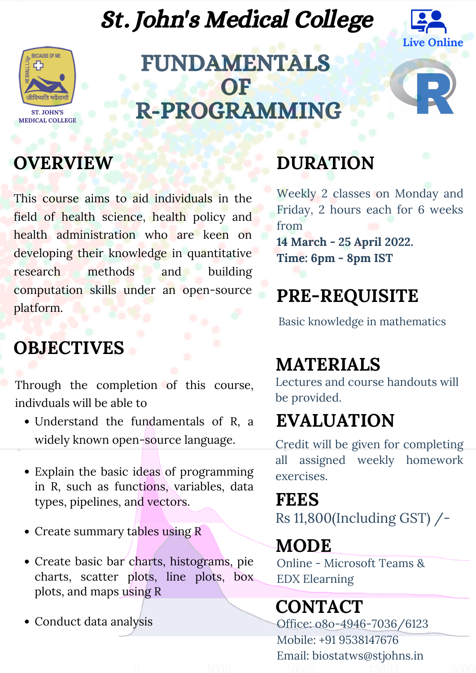FUNDAMENTALS OF R-PROGRAMMING

Through the completion of this course, indivduals will be able to

- Understand the fundamentals of R, a widely known open-source language.
- Explain the basic ideas of programming in R, such as functions, variables, data types, pipelines, and vectors.
- Create summary tables using R
- Create basic bar charts, histograms, pie charts, scatter plots, line plots, box plots, and maps using R
- Conduct data analysis

Credit will be given for completing all assigned weekly homework exercises.

Weekly 2 classes on Monday and Friday, 2 hours each for 6 weeks from **14 March - 25 April 2022. Time: 6pm - 8pm IST**

This course aims to aid individuals in the field of health science, health policy and health administration who are keen on developing their knowledge in quantitative research methods and building computation skills under an open-source platform.

#### **OBJECTIVES**

Lectures and course handouts will be provided.

Basic knowledge in mathematics

### **DURATION**

#### **PRE-REQUISITE**

#### **MATERIALS**

## **EVALUATION**

#### **FEES**

#### **MODE**

Rs 11,800(Including GST) /-

Online - Microsoft Teams & EDX Elearning

# St. John's Medical College

# **CONTACT**

Office: o8o-4946-7036/6123 Mobile: +91 9538147676 Email: biostatws@stjohns.in

#### **OVERVIEW**